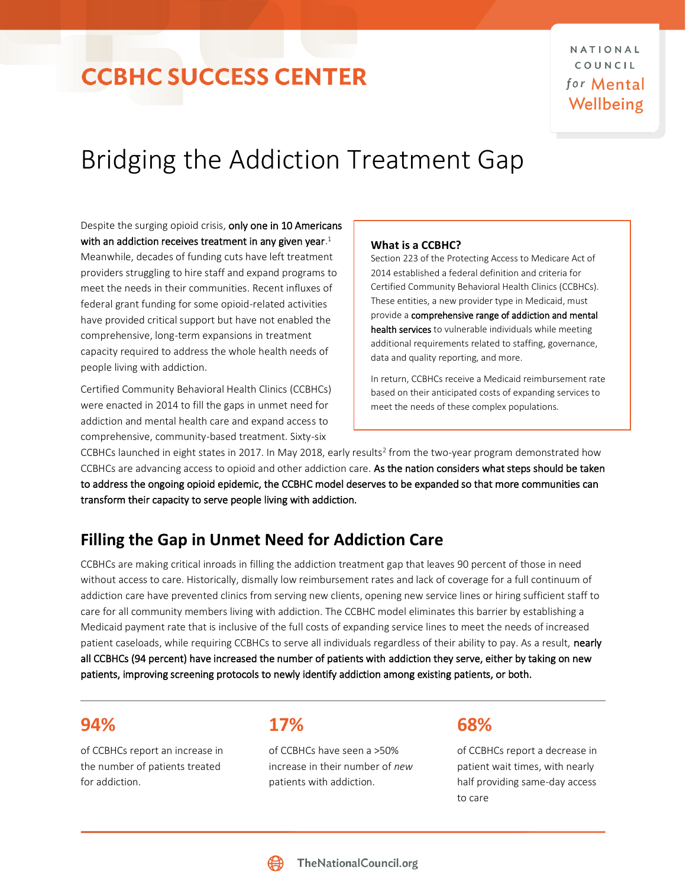# Bridging the Addiction Treatment Gap

Despite the surging opioid crisis, only one in 10 Americans with an addiction receives treatment in any given year. $^{\rm 1}$ 

Meanwhile, decades of funding cuts have left treatment providers struggling to hire staff and expand programs to meet the needs in their communities. Recent influxes of federal grant funding for some opioid-related activities have provided critical support but have not enabled the comprehensive, long-term expansions in treatment capacity required to address the whole health needs of people living with addiction.

Certified Community Behavioral Health Clinics (CCBHCs) were enacted in 2014 to fill the gaps in unmet need for addiction and mental health care and expand access to comprehensive, community-based treatment. Sixty-six

### **What is a CCBHC?**

Section 223 of the Protecting Access to Medicare Act of 2014 established a federal definition and criteria for Certified Community Behavioral Health Clinics (CCBHCs). These entities, a new provider type in Medicaid, must provide a comprehensive range of addiction and mental health services to vulnerable individuals while meeting additional requirements related to staffing, governance, data and quality reporting, and more.

In return, CCBHCs receive a Medicaid reimbursement rate based on their anticipated costs of expanding services to meet the needs of these complex populations.

CCBHCs launched in eight states in 2017. In May 2018, early results<sup>2</sup> from the two-year program demonstrated how CCBHCs are advancing access to opioid and other addiction care. As the nation considers what steps should be taken to address the ongoing opioid epidemic, the CCBHC model deserves to be expanded so that more communities can transform their capacity to serve people living with addiction.

## **Filling the Gap in Unmet Need for Addiction Care**

CCBHCs are making critical inroads in filling the addiction treatment gap that leaves 90 percent of those in need without access to care. Historically, dismally low reimbursement rates and lack of coverage for a full continuum of addiction care have prevented clinics from serving new clients, opening new service lines or hiring sufficient staff to care for all community members living with addiction. The CCBHC model eliminates this barrier by establishing a Medicaid payment rate that is inclusive of the full costs of expanding service lines to meet the needs of increased patient caseloads, while requiring CCBHCs to serve all individuals regardless of their ability to pay. As a result, nearly all CCBHCs (94 percent) have increased the number of patients with addiction they serve, either by taking on new patients, improving screening protocols to newly identify addiction among existing patients, or both.

### **94%**

of CCBHCs report an increase in the number of patients treated for addiction.

**17%**

of CCBHCs have seen a >50% increase in their number of *new* patients with addiction.

## **68%**

of CCBHCs report a decrease in patient wait times, with nearly half providing same-day access to care

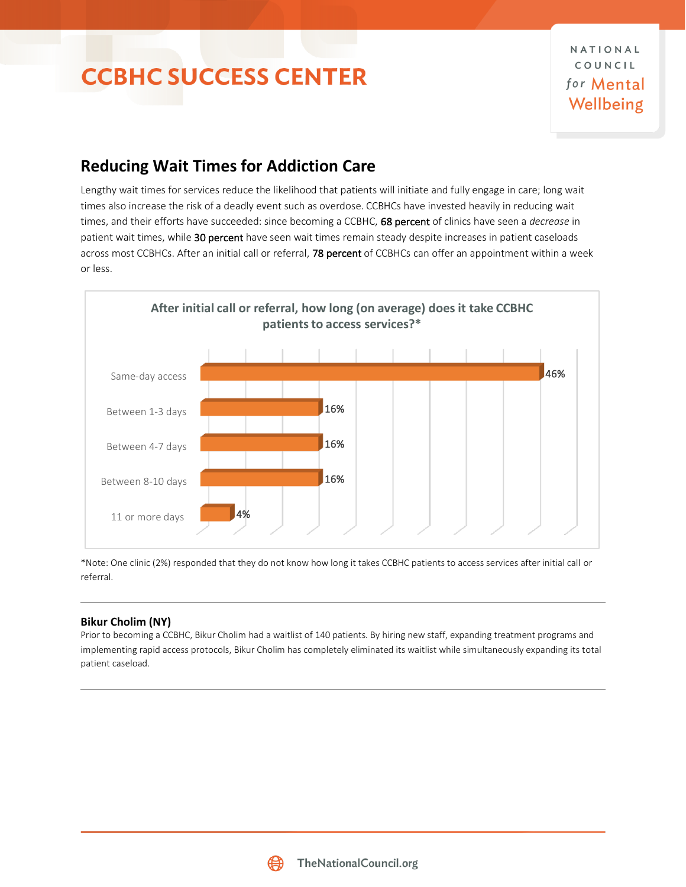NATIONAL COUNCIL for Mental Wellbeing

## **Reducing Wait Times for Addiction Care**

Lengthy wait times for services reduce the likelihood that patients will initiate and fully engage in care; long wait times also increase the risk of a deadly event such as overdose. CCBHCs have invested heavily in reducing wait times, and their efforts have succeeded: since becoming a CCBHC, 68 percent of clinics have seen a *decrease* in patient wait times, while 30 percent have seen wait times remain steady despite increases in patient caseloads across most CCBHCs. After an initial call or referral, 78 percent of CCBHCs can offer an appointment within a week or less.



\*Note: One clinic (2%) responded that they do not know how long it takes CCBHC patients to access services after initial call or referral.

### **Bikur Cholim (NY)**

Prior to becoming a CCBHC, Bikur Cholim had a waitlist of 140 patients. By hiring new staff, expanding treatment programs and implementing rapid access protocols, Bikur Cholim has completely eliminated its waitlist while simultaneously expanding its total patient caseload.

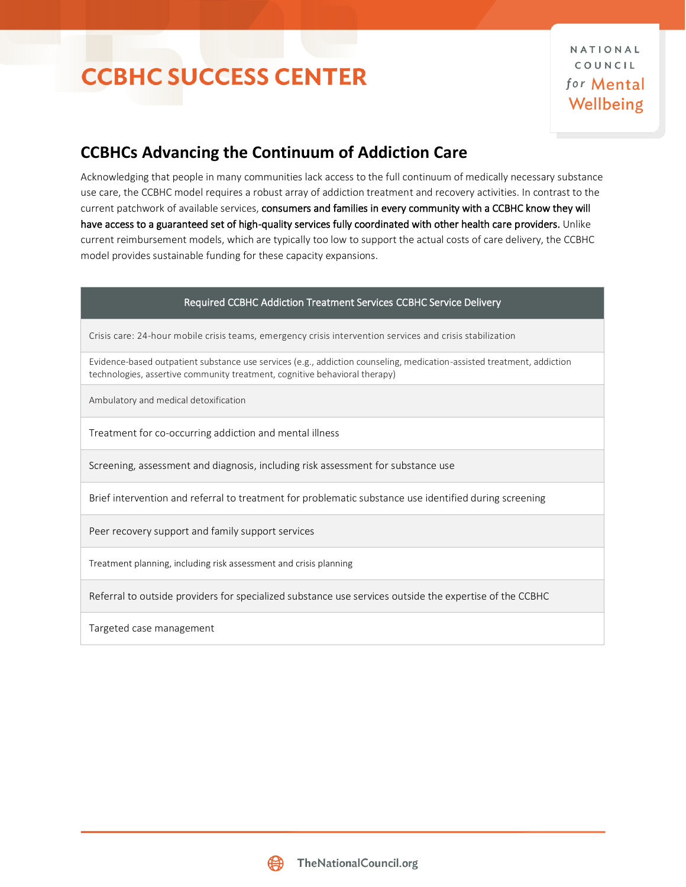## **CCBHCs Advancing the Continuum of Addiction Care**

Acknowledging that people in many communities lack access to the full continuum of medically necessary substance use care, the CCBHC model requires a robust array of addiction treatment and recovery activities. In contrast to the current patchwork of available services, consumers and families in every community with a CCBHC know they will have access to a guaranteed set of high-quality services fully coordinated with other health care providers. Unlike current reimbursement models, which are typically too low to support the actual costs of care delivery, the CCBHC model provides sustainable funding for these capacity expansions.

### Required CCBHC Addiction Treatment Services CCBHC Service Delivery

Crisis care: 24-hour mobile crisis teams, emergency crisis intervention services and crisis stabilization

Evidence-based outpatient substance use services (e.g., addiction counseling, medication-assisted treatment, addiction technologies, assertive community treatment, cognitive behavioral therapy)

Ambulatory and medical detoxification

Treatment for co-occurring addiction and mental illness

Screening, assessment and diagnosis, including risk assessment for substance use

Brief intervention and referral to treatment for problematic substance use identified during screening

Peer recovery support and family support services

Treatment planning, including risk assessment and crisis planning

Referral to outside providers for specialized substance use services outside the expertise of the CCBHC

Targeted case management

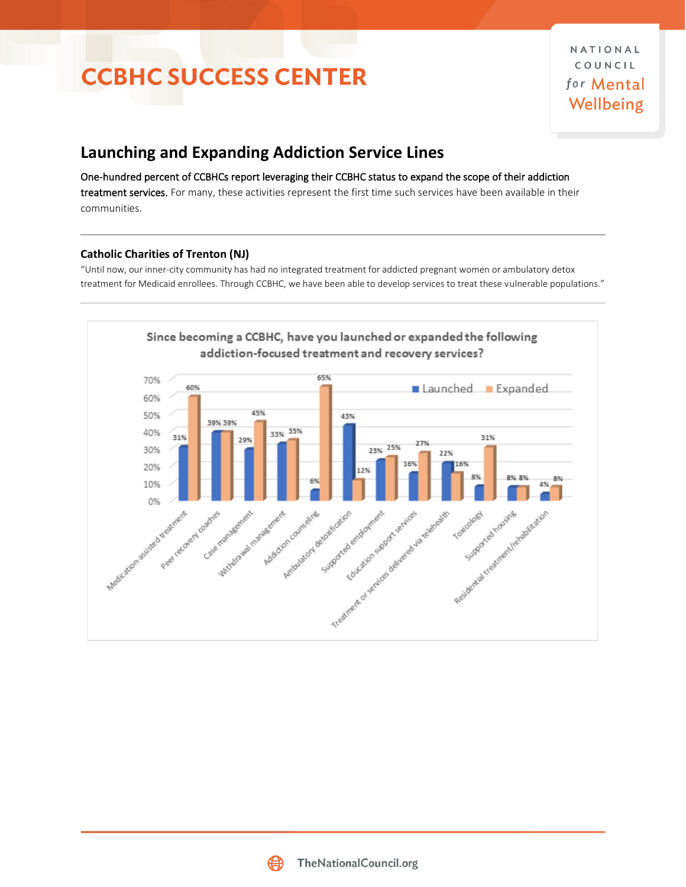## **Launching and Expanding Addiction Service Lines**

One-hundred percent of CCBHCs report leveraging their CCBHC status to expand the scope of their addiction treatment services. For many, these activities represent the first time such services have been available in their communities.

### **Catholic Charities of Trenton (NJ)**

"Until now, our inner-city community has had no integrated treatment for addicted pregnant women or ambulatory detox treatment for Medicaid enrollees. Through CCBHC, we have been able to develop services to treat these vulnerable populations."



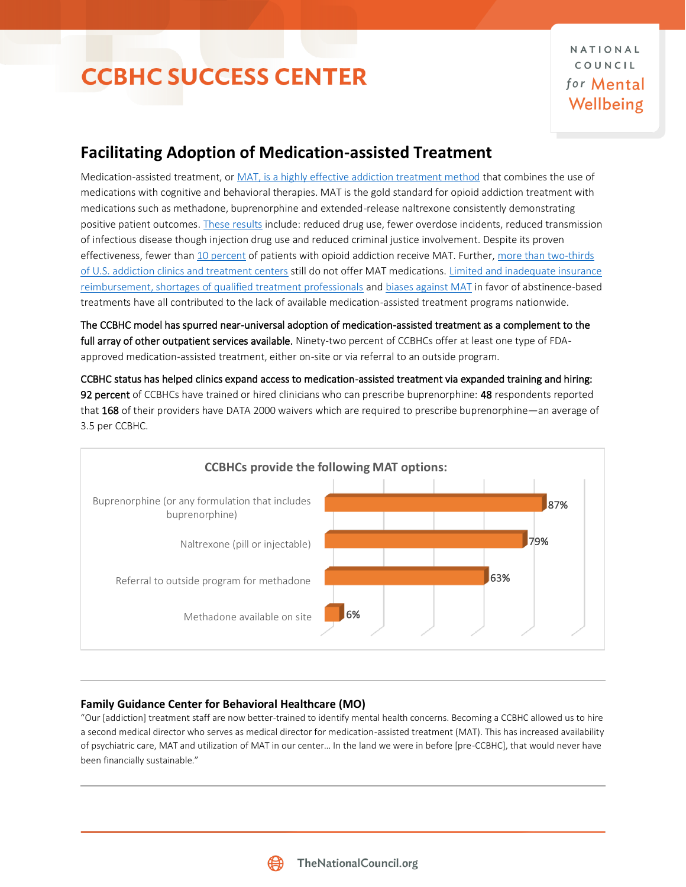## **Facilitating Adoption of Medication-assisted Treatment**

Medication-assisted treatment, o[r MAT, is a highly effective addiction treatment method](https://www.thenationalcouncil.org/mat/) that combines the use of medications with cognitive and behavioral therapies. MAT is the gold standard for opioid addiction treatment with medications such as methadone, buprenorphine and extended-release naltrexone consistently demonstrating positive patient outcomes[. These results](http://adai.uw.edu/pubs/infobriefs/MAT.pdf) include: reduced drug use, fewer overdose incidents, reduced transmission of infectious disease though injection drug use and reduced criminal justice involvement. Despite its proven effectiveness, fewer tha[n 10 percent](https://www.centeronaddiction.org/addiction-research/reports/ending-opioid-crisis-practical-guide-state-policymakers) of patients with opioid addiction receive MAT. Further, [more than two-thirds](http://www.pewtrusts.org/en/research-and-analysis/blogs/stateline/2016/12/23/in-drug-epidemic-resistance-to-medication-costs-lives)  [of U.S. addiction clinics and treatment centers](http://www.pewtrusts.org/en/research-and-analysis/blogs/stateline/2016/12/23/in-drug-epidemic-resistance-to-medication-costs-lives) still do not offer MAT medications. [Limited and inadequate insurance](https://www.ncbi.nlm.nih.gov/pmc/articles/PMC3114165/)  [reimbursement, shortages of qualified treatment professionals](https://www.ncbi.nlm.nih.gov/pmc/articles/PMC3114165/) an[d biases against MAT](https://www.thenationalcouncil.org/wp-content/uploads/2016/10/MF_1_30.pdf) in favor of abstinence-based treatments have all contributed to the lack of available medication-assisted treatment programs nationwide.

The CCBHC model has spurred near-universal adoption of medication-assisted treatment as a complement to the full array of other outpatient services available. Ninety-two percent of CCBHCs offer at least one type of FDAapproved medication-assisted treatment, either on-site or via referral to an outside program.

CCBHC status has helped clinics expand access to medication-assisted treatment via expanded training and hiring: 92 percent of CCBHCs have trained or hired clinicians who can prescribe buprenorphine: 48 respondents reported that 168 of their providers have DATA 2000 waivers which are required to prescribe buprenorphine—an average of 3.5 per CCBHC.



### **Family Guidance Center for Behavioral Healthcare (MO)**

"Our [addiction] treatment staff are now better-trained to identify mental health concerns. Becoming a CCBHC allowed us to hire a second medical director who serves as medical director for medication-assisted treatment (MAT). This has increased availability of psychiatric care, MAT and utilization of MAT in our center… In the land we were in before [pre-CCBHC], that would never have been financially sustainable."

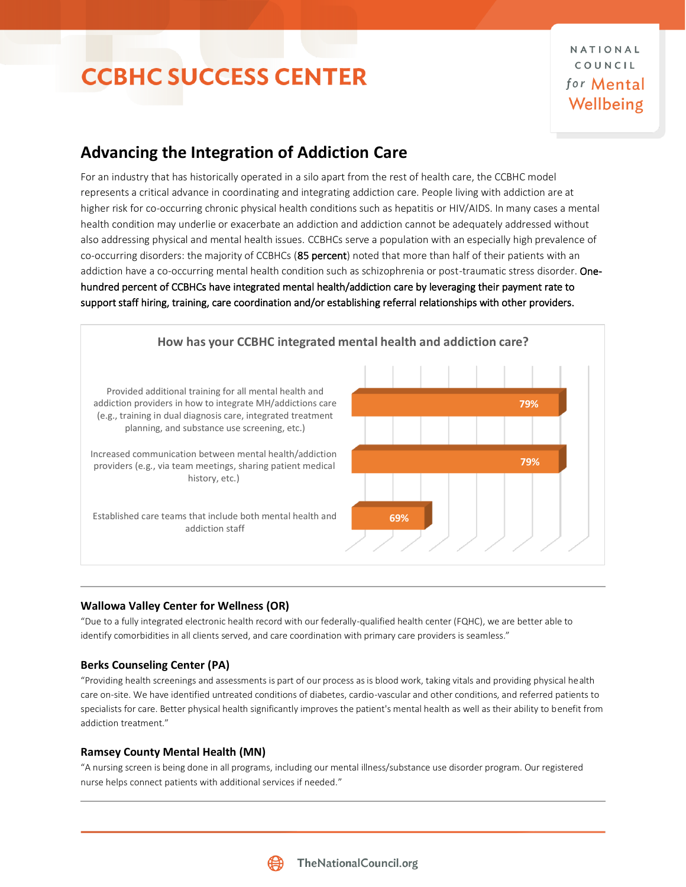NATIONAL COUNCIL for Mental Wellbeing

## **Advancing the Integration of Addiction Care**

For an industry that has historically operated in a silo apart from the rest of health care, the CCBHC model represents a critical advance in coordinating and integrating addiction care. People living with addiction are at higher risk for co-occurring chronic physical health conditions such as hepatitis or HIV/AIDS. In many cases a mental health condition may underlie or exacerbate an addiction and addiction cannot be adequately addressed without also addressing physical and mental health issues. CCBHCs serve a population with an especially high prevalence of co-occurring disorders: the majority of CCBHCs (85 percent) noted that more than half of their patients with an addiction have a co-occurring mental health condition such as schizophrenia or post-traumatic stress disorder. Onehundred percent of CCBHCs have integrated mental health/addiction care by leveraging their payment rate to support staff hiring, training, care coordination and/or establishing referral relationships with other providers.



### **Wallowa Valley Center for Wellness (OR)**

"Due to a fully integrated electronic health record with our federally-qualified health center (FQHC), we are better able to identify comorbidities in all clients served, and care coordination with primary care providers is seamless."

### **Berks Counseling Center (PA)**

"Providing health screenings and assessments is part of our process as is blood work, taking vitals and providing physical health care on-site. We have identified untreated conditions of diabetes, cardio-vascular and other conditions, and referred patients to specialists for care. Better physical health significantly improves the patient's mental health as well as their ability to benefit from addiction treatment."

### **Ramsey County Mental Health (MN)**

"A nursing screen is being done in all programs, including our mental illness/substance use disorder program. Our registered nurse helps connect patients with additional services if needed."

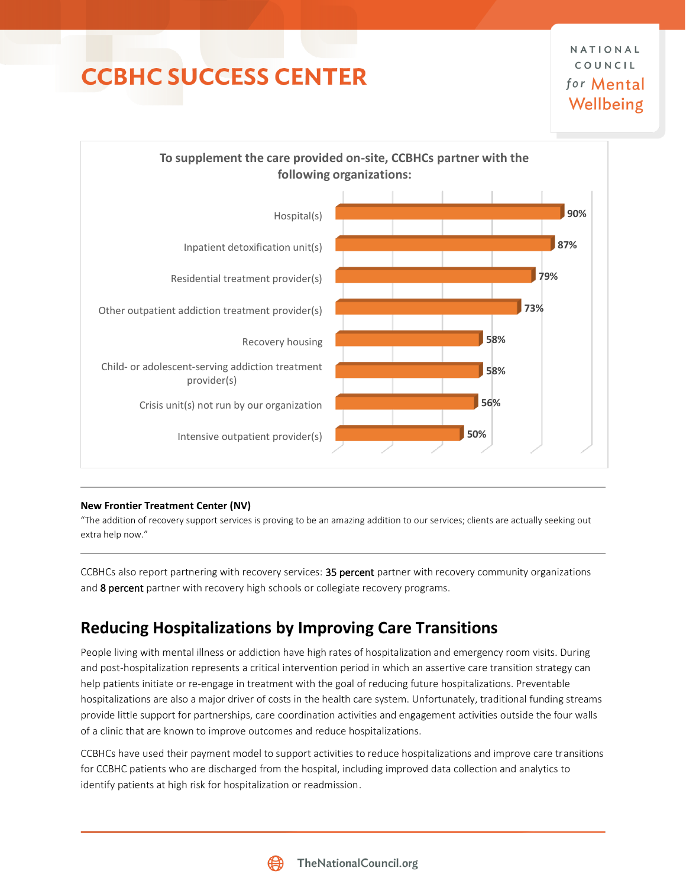

### **New Frontier Treatment Center (NV)**

"The addition of recovery support services is proving to be an amazing addition to our services; clients are actually seeking out extra help now."

CCBHCs also report partnering with recovery services: 35 percent partner with recovery community organizations and 8 percent partner with recovery high schools or collegiate recovery programs.

## **Reducing Hospitalizations by Improving Care Transitions**

People living with mental illness or addiction have high rates of hospitalization and emergency room visits. During and post-hospitalization represents a critical intervention period in which an assertive care transition strategy can help patients initiate or re-engage in treatment with the goal of reducing future hospitalizations. Preventable hospitalizations are also a major driver of costs in the health care system. Unfortunately, traditional funding streams provide little support for partnerships, care coordination activities and engagement activities outside the four walls of a clinic that are known to improve outcomes and reduce hospitalizations.

CCBHCs have used their payment model to support activities to reduce hospitalizations and improve care transitions for CCBHC patients who are discharged from the hospital, including improved data collection and analytics to identify patients at high risk for hospitalization or readmission.

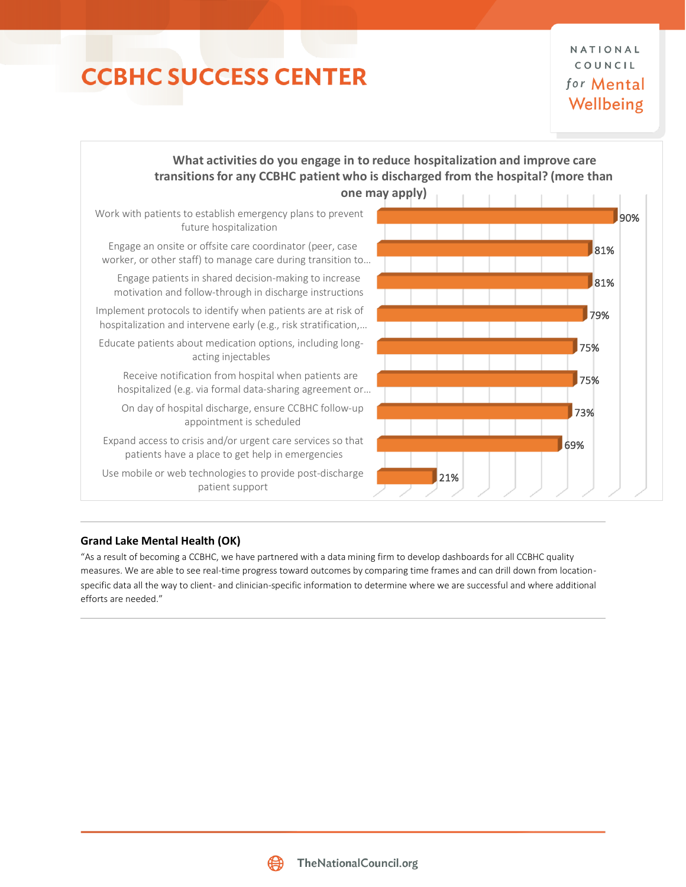NATIONAL COUNCIL for Mental Wellbeing



### **Grand Lake Mental Health (OK)**

"As a result of becoming a CCBHC, we have partnered with a data mining firm to develop dashboards for all CCBHC quality measures. We are able to see real-time progress toward outcomes by comparing time frames and can drill down from locationspecific data all the way to client- and clinician-specific information to determine where we are successful and where additional efforts are needed."